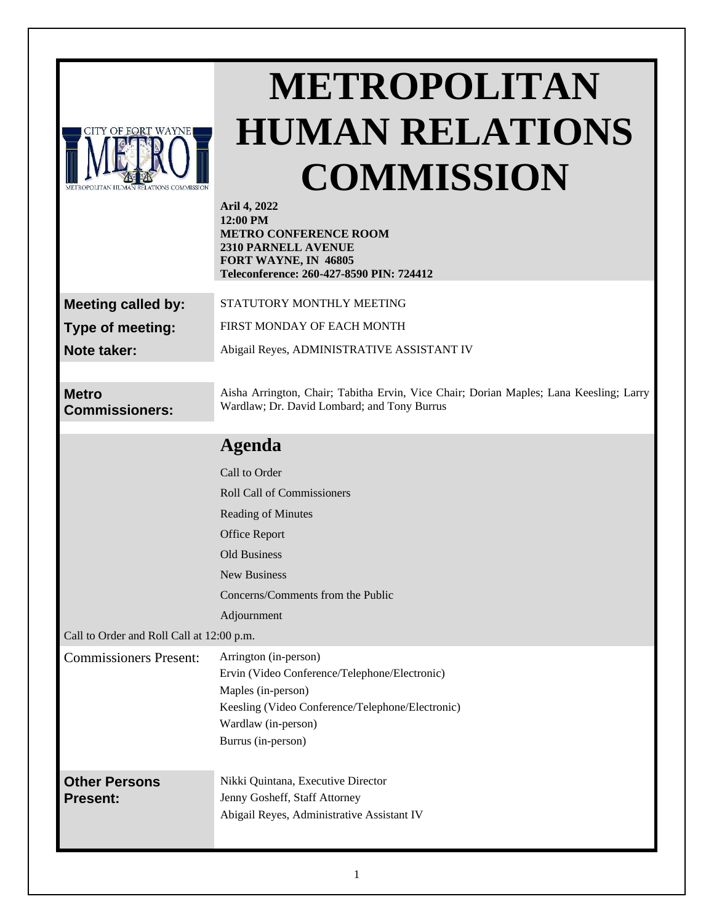

# **METROPOLITAN HUMAN RELATIONS COMMISSION**

|                                           | Aril 4, 2022<br>12:00 PM<br><b>METRO CONFERENCE ROOM</b><br>2310 PARNELL AVENUE<br>FORT WAYNE, IN 46805<br>Teleconference: 260-427-8590 PIN: 724412                                           |
|-------------------------------------------|-----------------------------------------------------------------------------------------------------------------------------------------------------------------------------------------------|
| <b>Meeting called by:</b>                 | STATUTORY MONTHLY MEETING                                                                                                                                                                     |
| Type of meeting:                          | FIRST MONDAY OF EACH MONTH                                                                                                                                                                    |
| Note taker:                               | Abigail Reyes, ADMINISTRATIVE ASSISTANT IV                                                                                                                                                    |
|                                           |                                                                                                                                                                                               |
| <b>Metro</b><br><b>Commissioners:</b>     | Aisha Arrington, Chair; Tabitha Ervin, Vice Chair; Dorian Maples; Lana Keesling; Larry<br>Wardlaw; Dr. David Lombard; and Tony Burrus                                                         |
|                                           | <b>Agenda</b>                                                                                                                                                                                 |
|                                           | Call to Order                                                                                                                                                                                 |
|                                           | <b>Roll Call of Commissioners</b>                                                                                                                                                             |
|                                           | Reading of Minutes                                                                                                                                                                            |
|                                           | <b>Office Report</b>                                                                                                                                                                          |
|                                           | Old Business                                                                                                                                                                                  |
|                                           | <b>New Business</b>                                                                                                                                                                           |
|                                           | Concerns/Comments from the Public                                                                                                                                                             |
|                                           | Adjournment                                                                                                                                                                                   |
| Call to Order and Roll Call at 12:00 p.m. |                                                                                                                                                                                               |
| <b>Commissioners Present:</b>             | Arrington (in-person)<br>Ervin (Video Conference/Telephone/Electronic)<br>Maples (in-person)<br>Keesling (Video Conference/Telephone/Electronic)<br>Wardlaw (in-person)<br>Burrus (in-person) |
| <b>Other Persons</b><br><b>Present:</b>   | Nikki Quintana, Executive Director<br>Jenny Gosheff, Staff Attorney<br>Abigail Reyes, Administrative Assistant IV                                                                             |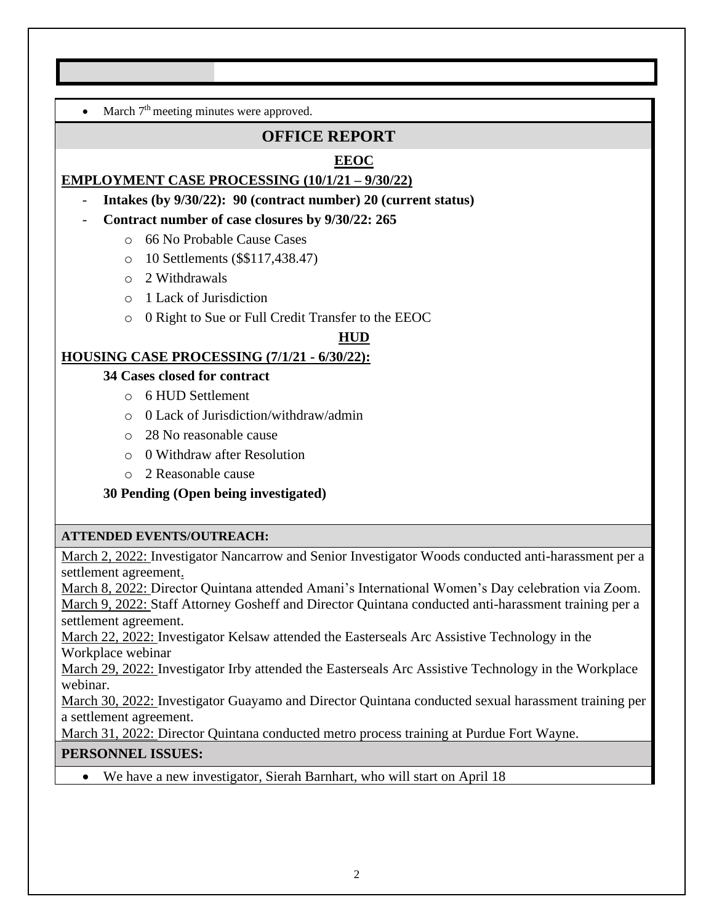• March  $7<sup>th</sup>$  meeting minutes were approved.

# **OFFICE REPORT**

# **EEOC**

## **EMPLOYMENT CASE PROCESSING (10/1/21 – 9/30/22)**

- **Intakes (by 9/30/22): 90 (contract number) 20 (current status)**
- **Contract number of case closures by 9/30/22: 265**
	- o 66 No Probable Cause Cases
	- o 10 Settlements (\$\$117,438.47)
	- o 2 Withdrawals
	- o 1 Lack of Jurisdiction
	- o 0 Right to Sue or Full Credit Transfer to the EEOC

#### **HUD**

#### **HOUSING CASE PROCESSING (7/1/21 - 6/30/22):**

#### **34 Cases closed for contract**

- o 6 HUD Settlement
- o 0 Lack of Jurisdiction/withdraw/admin
- o 28 No reasonable cause
- o 0 Withdraw after Resolution
- o 2 Reasonable cause

## **30 Pending (Open being investigated)**

#### **ATTENDED EVENTS/OUTREACH:**

March 2, 2022: Investigator Nancarrow and Senior Investigator Woods conducted anti-harassment per a settlement agreement.

March 8, 2022: Director Quintana attended Amani's International Women's Day celebration via Zoom. March 9, 2022: Staff Attorney Gosheff and Director Quintana conducted anti-harassment training per a settlement agreement.

March 22, 2022: Investigator Kelsaw attended the Easterseals Arc Assistive Technology in the Workplace webinar

March 29, 2022: Investigator Irby attended the Easterseals Arc Assistive Technology in the Workplace webinar.

March 30, 2022: Investigator Guayamo and Director Quintana conducted sexual harassment training per a settlement agreement.

March 31, 2022: Director Quintana conducted metro process training at Purdue Fort Wayne.

#### **PERSONNEL ISSUES:**

We have a new investigator, Sierah Barnhart, who will start on April 18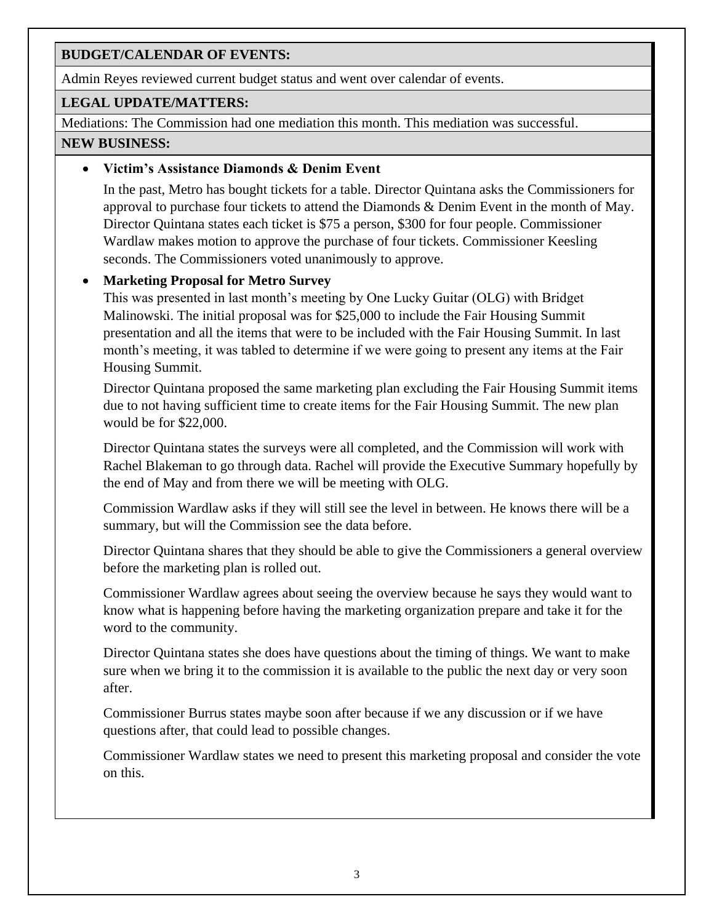#### **BUDGET/CALENDAR OF EVENTS:**

Admin Reyes reviewed current budget status and went over calendar of events.

#### **LEGAL UPDATE/MATTERS:**

Mediations: The Commission had one mediation this month. This mediation was successful. **NEW BUSINESS:**

#### • **Victim's Assistance Diamonds & Denim Event**

In the past, Metro has bought tickets for a table. Director Quintana asks the Commissioners for approval to purchase four tickets to attend the Diamonds & Denim Event in the month of May. Director Quintana states each ticket is \$75 a person, \$300 for four people. Commissioner Wardlaw makes motion to approve the purchase of four tickets. Commissioner Keesling seconds. The Commissioners voted unanimously to approve.

## • **Marketing Proposal for Metro Survey**

This was presented in last month's meeting by One Lucky Guitar (OLG) with Bridget Malinowski. The initial proposal was for \$25,000 to include the Fair Housing Summit presentation and all the items that were to be included with the Fair Housing Summit. In last month's meeting, it was tabled to determine if we were going to present any items at the Fair Housing Summit.

Director Quintana proposed the same marketing plan excluding the Fair Housing Summit items due to not having sufficient time to create items for the Fair Housing Summit. The new plan would be for \$22,000.

Director Quintana states the surveys were all completed, and the Commission will work with Rachel Blakeman to go through data. Rachel will provide the Executive Summary hopefully by the end of May and from there we will be meeting with OLG.

Commission Wardlaw asks if they will still see the level in between. He knows there will be a summary, but will the Commission see the data before.

Director Quintana shares that they should be able to give the Commissioners a general overview before the marketing plan is rolled out.

Commissioner Wardlaw agrees about seeing the overview because he says they would want to know what is happening before having the marketing organization prepare and take it for the word to the community.

Director Quintana states she does have questions about the timing of things. We want to make sure when we bring it to the commission it is available to the public the next day or very soon after.

Commissioner Burrus states maybe soon after because if we any discussion or if we have questions after, that could lead to possible changes.

Commissioner Wardlaw states we need to present this marketing proposal and consider the vote on this.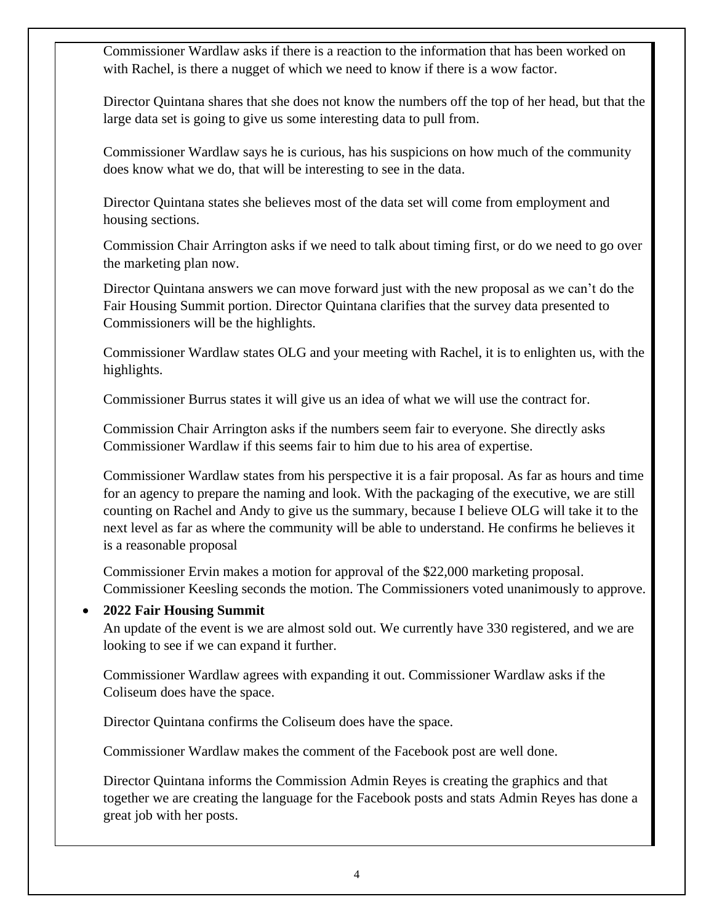Commissioner Wardlaw asks if there is a reaction to the information that has been worked on with Rachel, is there a nugget of which we need to know if there is a wow factor.

Director Quintana shares that she does not know the numbers off the top of her head, but that the large data set is going to give us some interesting data to pull from.

Commissioner Wardlaw says he is curious, has his suspicions on how much of the community does know what we do, that will be interesting to see in the data.

Director Quintana states she believes most of the data set will come from employment and housing sections.

Commission Chair Arrington asks if we need to talk about timing first, or do we need to go over the marketing plan now.

Director Quintana answers we can move forward just with the new proposal as we can't do the Fair Housing Summit portion. Director Quintana clarifies that the survey data presented to Commissioners will be the highlights.

Commissioner Wardlaw states OLG and your meeting with Rachel, it is to enlighten us, with the highlights.

Commissioner Burrus states it will give us an idea of what we will use the contract for.

Commission Chair Arrington asks if the numbers seem fair to everyone. She directly asks Commissioner Wardlaw if this seems fair to him due to his area of expertise.

Commissioner Wardlaw states from his perspective it is a fair proposal. As far as hours and time for an agency to prepare the naming and look. With the packaging of the executive, we are still counting on Rachel and Andy to give us the summary, because I believe OLG will take it to the next level as far as where the community will be able to understand. He confirms he believes it is a reasonable proposal

Commissioner Ervin makes a motion for approval of the \$22,000 marketing proposal. Commissioner Keesling seconds the motion. The Commissioners voted unanimously to approve.

#### • **2022 Fair Housing Summit**

An update of the event is we are almost sold out. We currently have 330 registered, and we are looking to see if we can expand it further.

Commissioner Wardlaw agrees with expanding it out. Commissioner Wardlaw asks if the Coliseum does have the space.

Director Quintana confirms the Coliseum does have the space.

Commissioner Wardlaw makes the comment of the Facebook post are well done.

Director Quintana informs the Commission Admin Reyes is creating the graphics and that together we are creating the language for the Facebook posts and stats Admin Reyes has done a great job with her posts.